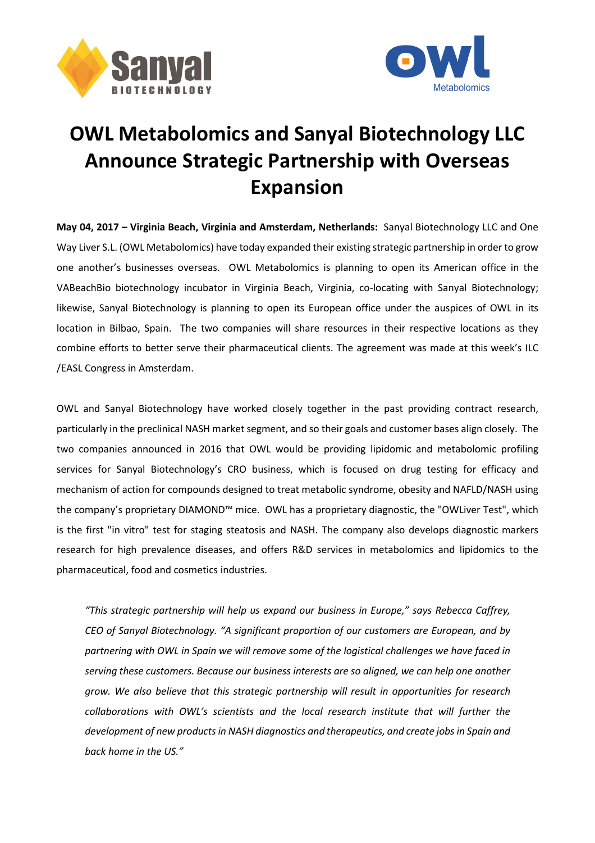



## **OWL Metabolomics and Sanyal Biotechnology LLC Announce Strategic Partnership with Overseas Expansion**

**May 04, 2017 – Virginia Beach, Virginia and Amsterdam, Netherlands:** Sanyal Biotechnology LLC and One Way Liver S.L. (OWL Metabolomics) have today expanded their existing strategic partnership in order to grow one another's businesses overseas. OWL Metabolomics is planning to open its American office in the VABeachBio biotechnology incubator in Virginia Beach, Virginia, co-locating with Sanyal Biotechnology; likewise, Sanyal Biotechnology is planning to open its European office under the auspices of OWL in its location in Bilbao, Spain. The two companies will share resources in their respective locations as they combine efforts to better serve their pharmaceutical clients. The agreement was made at this week's ILC /EASL Congress in Amsterdam.

OWL and Sanyal Biotechnology have worked closely together in the past providing contract research, particularly in the preclinical NASH market segment, and so their goals and customer bases align closely. The two companies announced in 2016 that OWL would be providing lipidomic and metabolomic profiling services for Sanyal Biotechnology's CRO business, which is focused on drug testing for efficacy and mechanism of action for compounds designed to treat metabolic syndrome, obesity and NAFLD/NASH using the company's proprietary DIAMOND™ mice. OWL has a proprietary diagnostic, the "OWLiver Test", which is the first "in vitro" test for staging steatosis and NASH. The company also develops diagnostic markers research for high prevalence diseases, and offers R&D services in metabolomics and lipidomics to the pharmaceutical, food and cosmetics industries.

*"This strategic partnership will help us expand our business in Europe," says Rebecca Caffrey, CEO of Sanyal Biotechnology. "A significant proportion of our customers are European, and by partnering with OWL in Spain we will remove some of the logistical challenges we have faced in serving these customers. Because our business interests are so aligned, we can help one another grow. We also believe that this strategic partnership will result in opportunities for research collaborations with OWL's scientists and the local research institute that will further the development of new productsin NASH diagnostics and therapeutics, and create jobsin Spain and back home in the US."*